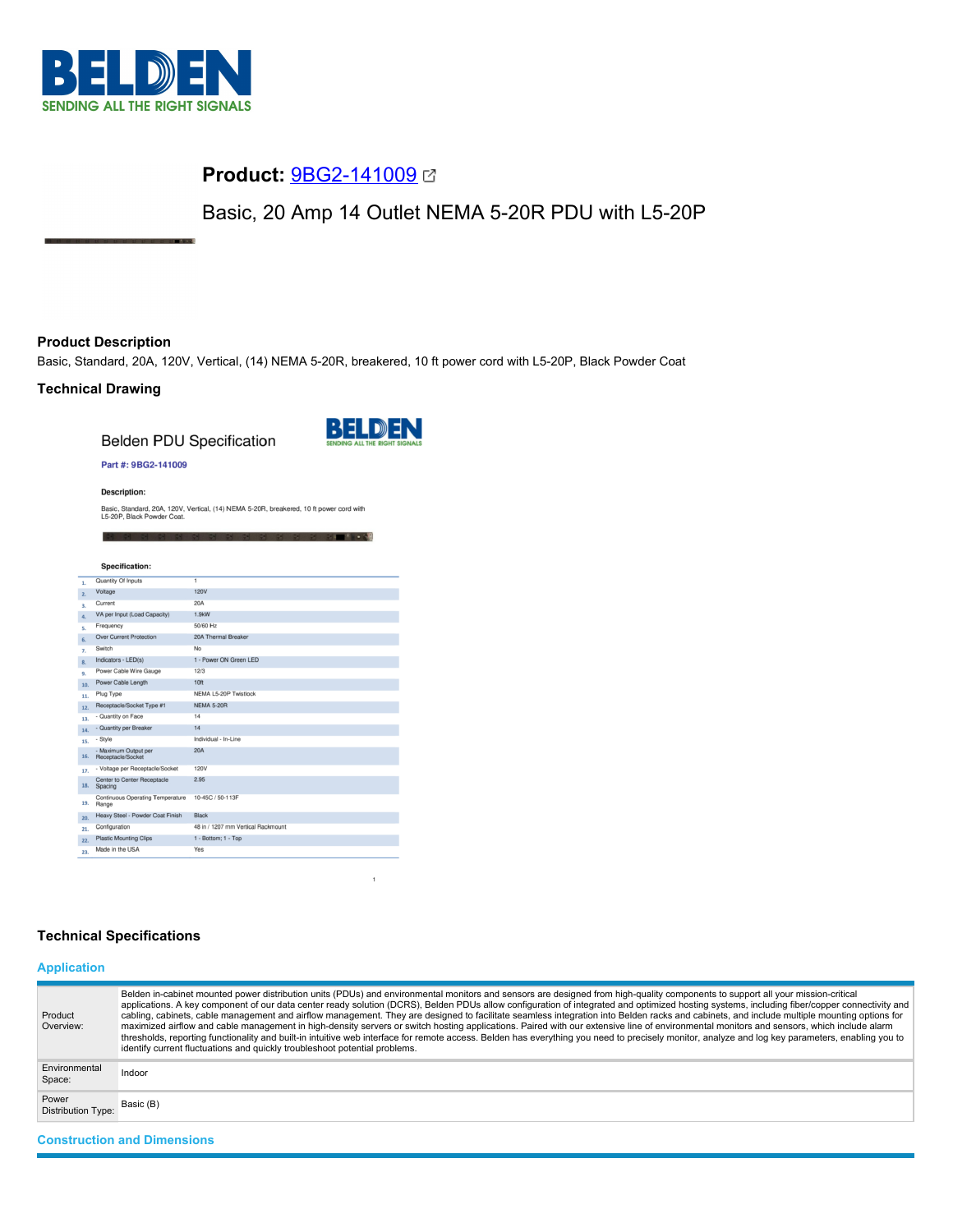

# **Product:** [9BG2-141009](https://catalog.belden.com/index.cfm?event=pd&p=PF_9BG2141009&tab=downloads)

Basic, 20 Amp 14 Outlet NEMA 5-20R PDU with L5-20P

## **Product Description**

Basic, Standard, 20A, 120V, Vertical, (14) NEMA 5-20R, breakered, 10 ft power cord with L5-20P, Black Powder Coat

## **Technical Drawing**

**Belden PDU Specification** 



어느 거 어때? 남녀는

#### Part #: 9BG2-141009

**Description:** 

Basic, Standard, 20A, 120V, Vertical, (14) NEMA 5-20R, breakered, 10 ft power cord with<br>L5-20P, Black Powder Coat.

|     | <b>Specification:</b>                         |                                    |
|-----|-----------------------------------------------|------------------------------------|
|     |                                               |                                    |
| 1.  | Quantity Of Inputs                            | 1                                  |
| 2.  | Voltage                                       | <b>120V</b>                        |
| 3.  | Current                                       | 20A                                |
| 4.  | VA per Input (Load Capacity)                  | 1.9kW                              |
| s.  | Frequency                                     | 50/60 Hz                           |
| 6.  | <b>Over Current Protection</b>                | 20A Thermal Breaker                |
| 7.  | Switch                                        | No                                 |
| 8.  | Indicators - LED(s)                           | 1 - Power ON Green LED             |
| 9.  | Power Cable Wire Gauge                        | 12/3                               |
| 10. | Power Cable Length                            | 10 <sub>ft</sub>                   |
| 11. | Plug Type                                     | NEMA L5-20P Twistlock              |
| 12. | Receptacle/Socket Type #1                     | NEMA 5-20R                         |
| 13. | - Quantity on Face                            | 14                                 |
| 14. | - Quantity per Breaker                        | 14                                 |
| 15. | - Style                                       | Individual - In-Line               |
| 16. | - Maximum Output per<br>Receptacle/Socket     | 20A                                |
| 17. | - Voltage per Receptacle/Socket               | 120V                               |
| 18. | <b>Center to Center Receptacle</b><br>Spacing | 2.95                               |
| 19. | Continuous Operating Temperature<br>Range     | 10-45C / 50-113F                   |
| 20. | Heavy Steel - Powder Coat Finish              | Black                              |
| 21. | Configuration                                 | 48 in / 1207 mm Vertical Rackmount |
| 22. | <b>Plastic Mounting Clips</b>                 | 1 - Bottom; 1 - Top                |
| 23. | Made in the USA                               | Yes                                |

## **Technical Specifications**

## **Application**

| Product<br>Overview:               | Belden in-cabinet mounted power distribution units (PDUs) and environmental monitors and sensors are designed from high-quality components to support all your mission-critical<br>applications. A key component of our data center ready solution (DCRS), Belden PDUs allow configuration of integrated and optimized hosting systems, including fiber/copper connectivity and<br>cabling, cabinets, cable management and airflow management. They are designed to facilitate seamless integration into Belden racks and cabinets, and include multiple mounting options for<br>maximized airflow and cable management in high-density servers or switch hosting applications. Paired with our extensive line of environmental monitors and sensors, which include alarm<br>thresholds, reporting functionality and built-in intuitive web interface for remote access. Belden has everything you need to precisely monitor, analyze and log key parameters, enabling you to<br>identify current fluctuations and quickly troubleshoot potential problems. |
|------------------------------------|-------------------------------------------------------------------------------------------------------------------------------------------------------------------------------------------------------------------------------------------------------------------------------------------------------------------------------------------------------------------------------------------------------------------------------------------------------------------------------------------------------------------------------------------------------------------------------------------------------------------------------------------------------------------------------------------------------------------------------------------------------------------------------------------------------------------------------------------------------------------------------------------------------------------------------------------------------------------------------------------------------------------------------------------------------------|
| Environmental<br>Space:            | Indoor                                                                                                                                                                                                                                                                                                                                                                                                                                                                                                                                                                                                                                                                                                                                                                                                                                                                                                                                                                                                                                                      |
| Power<br><b>Distribution Type:</b> | Basic (B)                                                                                                                                                                                                                                                                                                                                                                                                                                                                                                                                                                                                                                                                                                                                                                                                                                                                                                                                                                                                                                                   |
| <b>Construction and Dimensions</b> |                                                                                                                                                                                                                                                                                                                                                                                                                                                                                                                                                                                                                                                                                                                                                                                                                                                                                                                                                                                                                                                             |